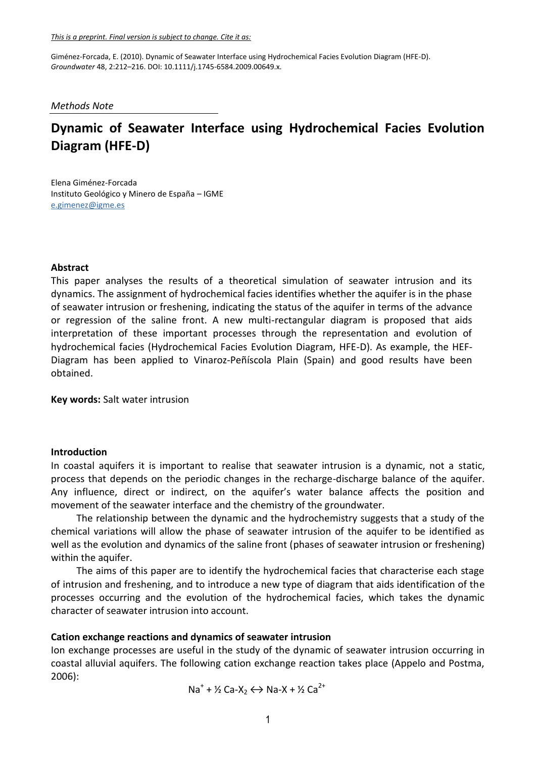#### *Methods Note*

# **Dynamic of Seawater Interface using Hydrochemical Facies Evolution Diagram (HFE-D)**

Elena Giménez-Forcada Instituto Geológico y Minero de España – IGME [e.gimenez@igme.es](mailto:e.gimenez@igme.es)

#### **Abstract**

This paper analyses the results of a theoretical simulation of seawater intrusion and its dynamics. The assignment of hydrochemical facies identifies whether the aquifer is in the phase of seawater intrusion or freshening, indicating the status of the aquifer in terms of the advance or regression of the saline front. A new multi-rectangular diagram is proposed that aids interpretation of these important processes through the representation and evolution of hydrochemical facies (Hydrochemical Facies Evolution Diagram, HFE-D). As example, the HEF-Diagram has been applied to Vinaroz-Peñíscola Plain (Spain) and good results have been obtained.

**Key words:** Salt water intrusion

#### **Introduction**

In coastal aquifers it is important to realise that seawater intrusion is a dynamic, not a static, process that depends on the periodic changes in the recharge-discharge balance of the aquifer. Any influence, direct or indirect, on the aquifer's water balance affects the position and movement of the seawater interface and the chemistry of the groundwater.

The relationship between the dynamic and the hydrochemistry suggests that a study of the chemical variations will allow the phase of seawater intrusion of the aquifer to be identified as well as the evolution and dynamics of the saline front (phases of seawater intrusion or freshening) within the aquifer.

The aims of this paper are to identify the hydrochemical facies that characterise each stage of intrusion and freshening, and to introduce a new type of diagram that aids identification of the processes occurring and the evolution of the hydrochemical facies, which takes the dynamic character of seawater intrusion into account.

### **Cation exchange reactions and dynamics of seawater intrusion**

Ion exchange processes are useful in the study of the dynamic of seawater intrusion occurring in coastal alluvial aquifers. The following cation exchange reaction takes place (Appelo and Postma, 2006):

Na<sup>+</sup> + ½ Ca-X<sub>2</sub>  $\leftrightarrow$  Na-X + ½ Ca<sup>2+</sup>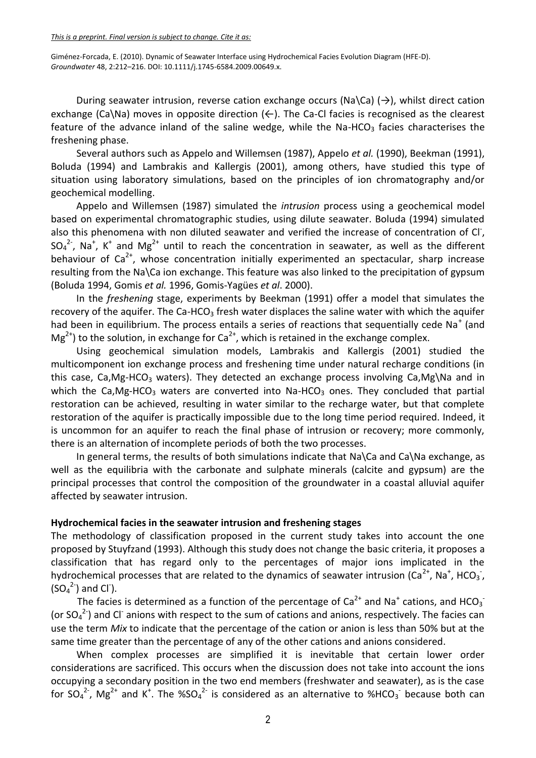*This is a preprint. Final version is subject to change. Cite it as:*

Giménez-Forcada, E. (2010). Dynamic of Seawater Interface using Hydrochemical Facies Evolution Diagram (HFE-D). *Groundwater* 48, 2:212–216. DOI: 10.1111/j.1745-6584.2009.00649.x.

During seawater intrusion, reverse cation exchange occurs (Na\Ca) ( $\rightarrow$ ), whilst direct cation exchange (Ca\Na) moves in opposite direction ( $\leftarrow$ ). The Ca-Cl facies is recognised as the clearest feature of the advance inland of the saline wedge, while the Na-HCO<sub>3</sub> facies characterises the freshening phase.

Several authors such as Appelo and Willemsen (1987), Appelo *et al.* (1990), Beekman (1991), Boluda (1994) and Lambrakis and Kallergis (2001), among others, have studied this type of situation using laboratory simulations, based on the principles of ion chromatography and/or geochemical modelling.

Appelo and Willemsen (1987) simulated the *intrusion* process using a geochemical model based on experimental chromatographic studies, using dilute seawater. Boluda (1994) simulated also this phenomena with non diluted seawater and verified the increase of concentration of Cl<sup>-</sup>,  $SO_4^2$ , Na<sup>+</sup>, K<sup>+</sup> and Mg<sup>2+</sup> until to reach the concentration in seawater, as well as the different behaviour of  $Ca<sup>2+</sup>$ , whose concentration initially experimented an spectacular, sharp increase resulting from the Na\Ca ion exchange. This feature was also linked to the precipitation of gypsum (Boluda 1994, Gomis *et al.* 1996, Gomis-Yagües *et al*. 2000).

In the *freshening* stage, experiments by Beekman (1991) offer a model that simulates the recovery of the aquifer. The Ca-HCO<sub>3</sub> fresh water displaces the saline water with which the aquifer had been in equilibrium. The process entails a series of reactions that sequentially cede Na<sup>+</sup> (and  $Mg^{2+}$ ) to the solution, in exchange for Ca<sup>2+</sup>, which is retained in the exchange complex.

Using geochemical simulation models, Lambrakis and Kallergis (2001) studied the multicomponent ion exchange process and freshening time under natural recharge conditions (in this case, Ca,Mg-HCO<sub>3</sub> waters). They detected an exchange process involving Ca,Mg\Na and in which the Ca,Mg-HCO<sub>3</sub> waters are converted into Na-HCO<sub>3</sub> ones. They concluded that partial restoration can be achieved, resulting in water similar to the recharge water, but that complete restoration of the aquifer is practically impossible due to the long time period required. Indeed, it is uncommon for an aquifer to reach the final phase of intrusion or recovery; more commonly, there is an alternation of incomplete periods of both the two processes.

In general terms, the results of both simulations indicate that Na\Ca and Ca\Na exchange, as well as the equilibria with the carbonate and sulphate minerals (calcite and gypsum) are the principal processes that control the composition of the groundwater in a coastal alluvial aquifer affected by seawater intrusion.

# **Hydrochemical facies in the seawater intrusion and freshening stages**

The methodology of classification proposed in the current study takes into account the one proposed by Stuyfzand (1993). Although this study does not change the basic criteria, it proposes a classification that has regard only to the percentages of major ions implicated in the hydrochemical processes that are related to the dynamics of seawater intrusion (Ca<sup>2+</sup>, Na<sup>+</sup>, HCO<sub>3</sub><sup>-</sup>,  $(SO_4^2)$  and Cl<sup>-</sup>).

The facies is determined as a function of the percentage of Ca<sup>2+</sup> and Na<sup>+</sup> cations, and HCO<sub>3</sub><sup>-</sup> (or  $SO_4^2$ -) and CI<sup>-</sup> anions with respect to the sum of cations and anions, respectively. The facies can use the term *Mix* to indicate that the percentage of the cation or anion is less than 50% but at the same time greater than the percentage of any of the other cations and anions considered.

When complex processes are simplified it is inevitable that certain lower order considerations are sacrificed. This occurs when the discussion does not take into account the ions occupying a secondary position in the two end members (freshwater and seawater), as is the case for SO<sub>4</sub><sup>2-</sup>, Mg<sup>2+</sup> and K<sup>+</sup>. The %SO<sub>4</sub><sup>2-</sup> is considered as an alternative to %HCO<sub>3</sub><sup>-</sup> because both can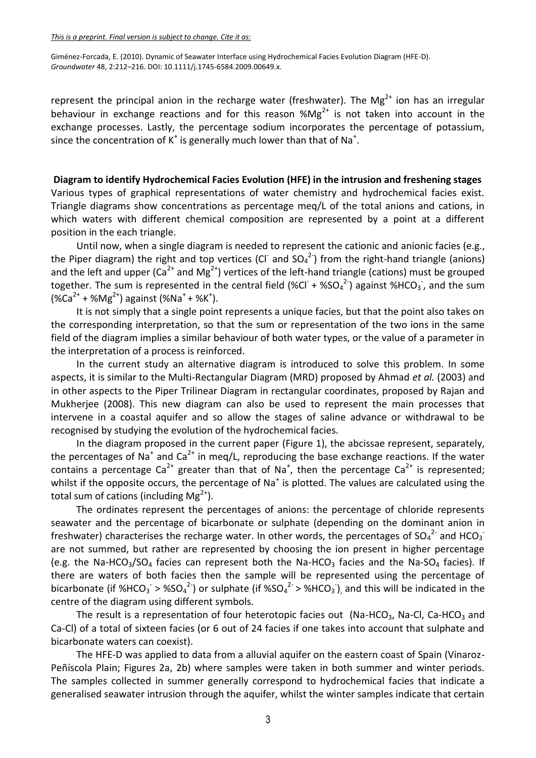represent the principal anion in the recharge water (freshwater). The Mg<sup>2+</sup> ion has an irregular behaviour in exchange reactions and for this reason  $%$ Mg<sup>2+</sup> is not taken into account in the exchange processes. Lastly, the percentage sodium incorporates the percentage of potassium, since the concentration of K<sup>+</sup> is generally much lower than that of Na<sup>+</sup>.

## **Diagram to identify Hydrochemical Facies Evolution (HFE) in the intrusion and freshening stages**

Various types of graphical representations of water chemistry and hydrochemical facies exist. Triangle diagrams show concentrations as percentage meq/L of the total anions and cations, in which waters with different chemical composition are represented by a point at a different position in the each triangle.

Until now, when a single diagram is needed to represent the cationic and anionic facies (e.g., the Piper diagram) the right and top vertices (CI<sup>-</sup> and SO<sub>4</sub><sup>2-</sup>) from the right-hand triangle (anions) and the left and upper  $(Ca^{2+}$  and Mg<sup>2+</sup>) vertices of the left-hand triangle (cations) must be grouped together. The sum is represented in the central field (%Cl<sup>-</sup> + %SO<sub>4</sub><sup>2-</sup>) against %HCO<sub>3</sub><sup>-</sup>, and the sum  $(\%Ca^{2+} + \%Mg^{2+})$  against (%Na<sup>+</sup> + %K<sup>+</sup>).

It is not simply that a single point represents a unique facies, but that the point also takes on the corresponding interpretation, so that the sum or representation of the two ions in the same field of the diagram implies a similar behaviour of both water types, or the value of a parameter in the interpretation of a process is reinforced.

In the current study an alternative diagram is introduced to solve this problem. In some aspects, it is similar to the Multi-Rectangular Diagram (MRD) proposed by Ahmad *et al.* (2003) and in other aspects to the Piper Trilinear Diagram in rectangular coordinates, proposed by Rajan and Mukherjee (2008). This new diagram can also be used to represent the main processes that intervene in a coastal aquifer and so allow the stages of saline advance or withdrawal to be recognised by studying the evolution of the hydrochemical facies.

In the diagram proposed in the current paper (Figure 1), the abcissae represent, separately, the percentages of Na<sup>+</sup> and Ca<sup>2+</sup> in meq/L, reproducing the base exchange reactions. If the water contains a percentage Ca<sup>2+</sup> greater than that of Na<sup>+</sup>, then the percentage Ca<sup>2+</sup> is represented; whilst if the opposite occurs, the percentage of Na<sup>+</sup> is plotted. The values are calculated using the total sum of cations (including  $Mg^{2+}$ ).

The ordinates represent the percentages of anions: the percentage of chloride represents seawater and the percentage of bicarbonate or sulphate (depending on the dominant anion in freshwater) characterises the recharge water. In other words, the percentages of SO<sub>4</sub><sup>2-</sup> and HCO<sub>3</sub><sup>-</sup> are not summed, but rather are represented by choosing the ion present in higher percentage (e.g. the Na-HCO<sub>3</sub>/SO<sub>4</sub> facies can represent both the Na-HCO<sub>3</sub> facies and the Na-SO<sub>4</sub> facies). If there are waters of both facies then the sample will be represented using the percentage of bicarbonate (if %HCO<sub>3</sub><sup>-</sup>> %SO<sub>4</sub><sup>2-</sup>) or sulphate (if %SO<sub>4</sub><sup>2-</sup>> %HCO<sub>3</sub><sup>-</sup>), and this will be indicated in the centre of the diagram using different symbols.

The result is a representation of four heterotopic facies out (Na-HCO<sub>3</sub>, Na-Cl, Ca-HCO<sub>3</sub> and Ca-Cl) of a total of sixteen facies (or 6 out of 24 facies if one takes into account that sulphate and bicarbonate waters can coexist).

The HFE-D was applied to data from a alluvial aquifer on the eastern coast of Spain (Vinaroz-Peñíscola Plain; Figures 2a, 2b) where samples were taken in both summer and winter periods. The samples collected in summer generally correspond to hydrochemical facies that indicate a generalised seawater intrusion through the aquifer, whilst the winter samples indicate that certain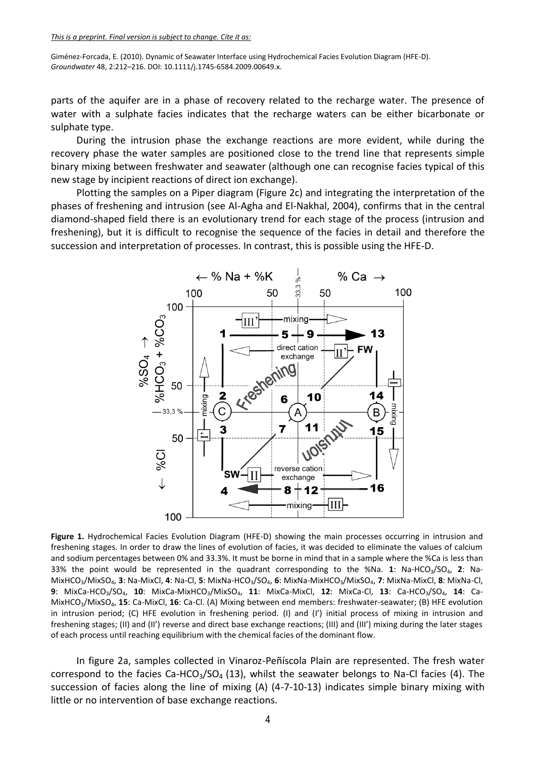parts of the aquifer are in a phase of recovery related to the recharge water. The presence of water with a sulphate facies indicates that the recharge waters can be either bicarbonate or sulphate type.

During the intrusion phase the exchange reactions are more evident, while during the recovery phase the water samples are positioned close to the trend line that represents simple binary mixing between freshwater and seawater (although one can recognise facies typical of this new stage by incipient reactions of direct ion exchange).

Plotting the samples on a Piper diagram (Figure 2c) and integrating the interpretation of the phases of freshening and intrusion (see Al-Agha and El-Nakhal, 2004), confirms that in the central diamond-shaped field there is an evolutionary trend for each stage of the process (intrusion and freshening), but it is difficult to recognise the sequence of the facies in detail and therefore the succession and interpretation of processes. In contrast, this is possible using the HFE-D.



Figure 1. Hydrochemical Facies Evolution Diagram (HFE-D) showing the main processes occurring in intrusion and freshening stages. In order to draw the lines of evolution of facies, it was decided to eliminate the values of calcium and sodium percentages between 0% and 33.3%. It must be borne in mind that in a sample where the %Ca is less than 33% the point would be represented in the quadrant corresponding to the %Na. **1**: Na-HCO3/SO4, **2**: Na-MixHCO3/MixSO4, **3**: Na-MixCl, **4**: Na-Cl, **5**: MixNa-HCO3/SO4, **6**: MixNa-MixHCO3/MixSO4, **7**: MixNa-MixCl, **8**: MixNa-Cl, **9**: MixCa-HCO3/SO4, **10**: MixCa-MixHCO3/MixSO4, **11**: MixCa-MixCl, **12**: MixCa-Cl, **13**: Ca-HCO3/SO4, **14**: Ca-MixHCO3/MixSO4, **15**: Ca-MixCl, **16**: Ca-Cl. (A) Mixing between end members: freshwater-seawater; (B) HFE evolution in intrusion period; (C) HFE evolution in freshening period. (I) and (I') initial process of mixing in intrusion and freshening stages; (II) and (II') reverse and direct base exchange reactions; (III) and (III') mixing during the later stages of each process until reaching equilibrium with the chemical facies of the dominant flow.

In figure 2a, samples collected in Vinaroz-Peñíscola Plain are represented. The fresh water correspond to the facies Ca-HCO<sub>3</sub>/SO<sub>4</sub> (13), whilst the seawater belongs to Na-Cl facies (4). The succession of facies along the line of mixing (A) (4-7-10-13) indicates simple binary mixing with little or no intervention of base exchange reactions.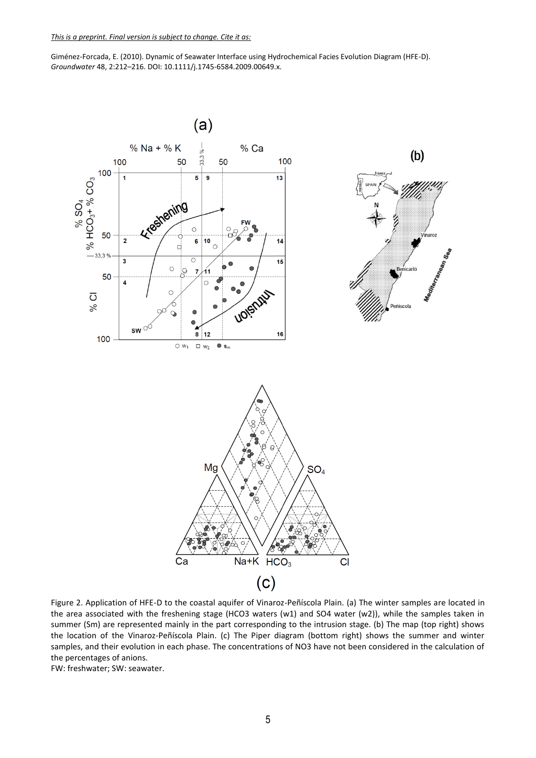

Figure 2. Application of HFE-D to the coastal aquifer of Vinaroz-Peñíscola Plain. (a) The winter samples are located in the area associated with the freshening stage (HCO3 waters (w1) and SO4 water (w2)), while the samples taken in summer (Sm) are represented mainly in the part corresponding to the intrusion stage. (b) The map (top right) shows the location of the Vinaroz-Peñíscola Plain. (c) The Piper diagram (bottom right) shows the summer and winter samples, and their evolution in each phase. The concentrations of NO3 have not been considered in the calculation of the percentages of anions.

FW: freshwater; SW: seawater.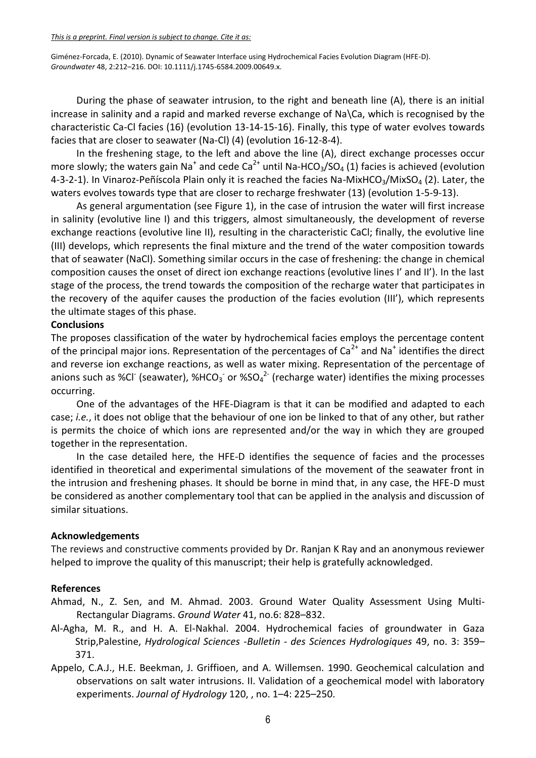During the phase of seawater intrusion, to the right and beneath line (A), there is an initial increase in salinity and a rapid and marked reverse exchange of Na\Ca, which is recognised by the characteristic Ca-Cl facies (16) (evolution 13-14-15-16). Finally, this type of water evolves towards facies that are closer to seawater (Na-Cl) (4) (evolution 16-12-8-4).

In the freshening stage, to the left and above the line (A), direct exchange processes occur more slowly; the waters gain Na<sup>+</sup> and cede Ca<sup>2+</sup> until Na-HCO<sub>3</sub>/SO<sub>4</sub> (1) facies is achieved (evolution 4-3-2-1). In Vinaroz-Peñíscola Plain only it is reached the facies Na-MixHCO<sub>3</sub>/MixSO<sub>4</sub> (2). Later, the waters evolves towards type that are closer to recharge freshwater (13) (evolution 1-5-9-13).

As general argumentation (see Figure 1), in the case of intrusion the water will first increase in salinity (evolutive line I) and this triggers, almost simultaneously, the development of reverse exchange reactions (evolutive line II), resulting in the characteristic CaCl; finally, the evolutive line (III) develops, which represents the final mixture and the trend of the water composition towards that of seawater (NaCl). Something similar occurs in the case of freshening: the change in chemical composition causes the onset of direct ion exchange reactions (evolutive lines I' and II'). In the last stage of the process, the trend towards the composition of the recharge water that participates in the recovery of the aquifer causes the production of the facies evolution (III'), which represents the ultimate stages of this phase.

### **Conclusions**

The proposes classification of the water by hydrochemical facies employs the percentage content of the principal major ions. Representation of the percentages of  $Ca<sup>2+</sup>$  and Na<sup>+</sup> identifies the direct and reverse ion exchange reactions, as well as water mixing. Representation of the percentage of anions such as %CI (seawater), %HCO<sub>3</sub> or %SO<sub>4</sub><sup>2-</sup> (recharge water) identifies the mixing processes occurring.

One of the advantages of the HFE-Diagram is that it can be modified and adapted to each case; *i.e.*, it does not oblige that the behaviour of one ion be linked to that of any other, but rather is permits the choice of which ions are represented and/or the way in which they are grouped together in the representation.

In the case detailed here, the HFE-D identifies the sequence of facies and the processes identified in theoretical and experimental simulations of the movement of the seawater front in the intrusion and freshening phases. It should be borne in mind that, in any case, the HFE-D must be considered as another complementary tool that can be applied in the analysis and discussion of similar situations.

# **Acknowledgements**

The reviews and constructive comments provided by Dr. Ranjan K Ray and an anonymous reviewer helped to improve the quality of this manuscript; their help is gratefully acknowledged.

#### **References**

- Ahmad, N., Z. Sen, and M. Ahmad. 2003. Ground Water Quality Assessment Using Multi-Rectangular Diagrams. *Ground Water* 41, no.6: 828–832.
- Al-Agha, M. R., and H. A. El-Nakhal. 2004. Hydrochemical facies of groundwater in Gaza Strip,Palestine, *Hydrological Sciences -Bulletin - des Sciences Hydrologiques* 49, no. 3: 359– 371.
- Appelo, C.A.J., H.E. Beekman, J. Griffioen, and A. Willemsen. 1990. Geochemical calculation and observations on salt water intrusions. II. Validation of a geochemical model with laboratory experiments. *Journal of Hydrology* 120, , no. 1–4: 225–250.